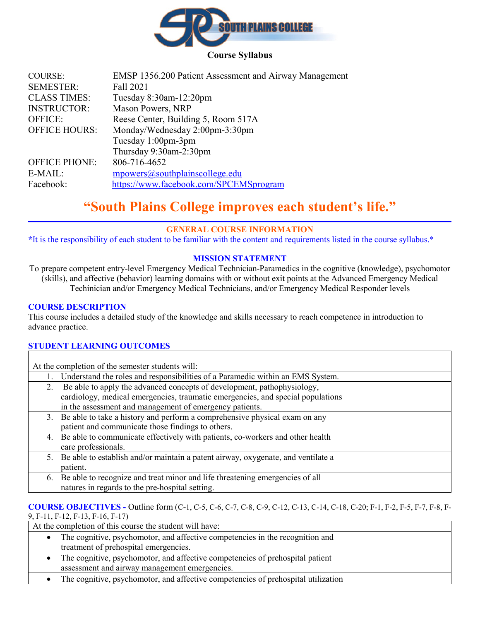

## **Course Syllabus**

| <b>COURSE:</b>       | EMSP 1356.200 Patient Assessment and Airway Management |
|----------------------|--------------------------------------------------------|
| <b>SEMESTER:</b>     | Fall 2021                                              |
| <b>CLASS TIMES:</b>  | Tuesday 8:30am-12:20pm                                 |
| <b>INSTRUCTOR:</b>   | Mason Powers, NRP                                      |
| <b>OFFICE:</b>       | Reese Center, Building 5, Room 517A                    |
| <b>OFFICE HOURS:</b> | Monday/Wednesday 2:00pm-3:30pm                         |
|                      | Tuesday 1:00pm-3pm                                     |
|                      | Thursday 9:30am-2:30pm                                 |
| <b>OFFICE PHONE:</b> | 806-716-4652                                           |
| E-MAIL:              | mpowers@southplainscollege.edu                         |
| Facebook:            | https://www.facebook.com/SPCEMSprogram                 |
|                      |                                                        |

# **"South Plains College improves each student's life."**

## **GENERAL COURSE INFORMATION**

**\***It is the responsibility of each student to be familiar with the content and requirements listed in the course syllabus.\*

## **MISSION STATEMENT**

To prepare competent entry-level Emergency Medical Technician-Paramedics in the cognitive (knowledge), psychomotor (skills), and affective (behavior) learning domains with or without exit points at the Advanced Emergency Medical Techinician and/or Emergency Medical Technicians, and/or Emergency Medical Responder levels

## **COURSE DESCRIPTION**

This course includes a detailed study of the knowledge and skills necessary to reach competence in introduction to advance practice.

## **STUDENT LEARNING OUTCOMES**

At the completion of the semester students will:

- 1. Understand the roles and responsibilities of a Paramedic within an EMS System.
- 2. Be able to apply the advanced concepts of development, pathophysiology, cardiology, medical emergencies, traumatic emergencies, and special populations in the assessment and management of emergency patients.
- 3. Be able to take a history and perform a comprehensive physical exam on any patient and communicate those findings to others.
- 4. Be able to communicate effectively with patients, co-workers and other health care professionals.
- 5. Be able to establish and/or maintain a patent airway, oxygenate, and ventilate a patient.
- 6. Be able to recognize and treat minor and life threatening emergencies of all natures in regards to the pre-hospital setting.

## **COURSE OBJECTIVES -** Outline form (C-1, C-5, C-6, C-7, C-8, C-9, C-12, C-13, C-14, C-18, C-20; F-1, F-2, F-5, F-7, F-8, F-

9, F-11, F-12, F-13, F-16, F-17)

At the completion of this course the student will have:

- The cognitive, psychomotor, and affective competencies in the recognition and treatment of prehospital emergencies.
- The cognitive, psychomotor, and affective competencies of prehospital patient assessment and airway management emergencies.
- The cognitive, psychomotor, and affective competencies of prehospital utilization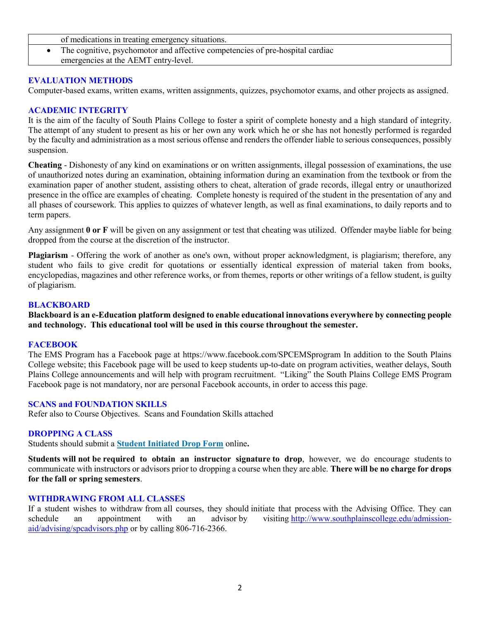- of medications in treating emergency situations.
- The cognitive, psychomotor and affective competencies of pre-hospital cardiac emergencies at the AEMT entry-level.

## **EVALUATION METHODS**

Computer-based exams, written exams, written assignments, quizzes, psychomotor exams, and other projects as assigned.

## **ACADEMIC INTEGRITY**

It is the aim of the faculty of South Plains College to foster a spirit of complete honesty and a high standard of integrity. The attempt of any student to present as his or her own any work which he or she has not honestly performed is regarded by the faculty and administration as a most serious offense and renders the offender liable to serious consequences, possibly suspension.

**Cheating** - Dishonesty of any kind on examinations or on written assignments, illegal possession of examinations, the use of unauthorized notes during an examination, obtaining information during an examination from the textbook or from the examination paper of another student, assisting others to cheat, alteration of grade records, illegal entry or unauthorized presence in the office are examples of cheating. Complete honesty is required of the student in the presentation of any and all phases of coursework. This applies to quizzes of whatever length, as well as final examinations, to daily reports and to term papers.

Any assignment **0 or F** will be given on any assignment or test that cheating was utilized. Offender maybe liable for being dropped from the course at the discretion of the instructor.

**Plagiarism** - Offering the work of another as one's own, without proper acknowledgment, is plagiarism; therefore, any student who fails to give credit for quotations or essentially identical expression of material taken from books, encyclopedias, magazines and other reference works, or from themes, reports or other writings of a fellow student, is guilty of plagiarism.

## **BLACKBOARD**

**Blackboard is an e-Education platform designed to enable educational innovations everywhere by connecting people and technology. This educational tool will be used in this course throughout the semester.** 

#### **FACEBOOK**

The EMS Program has a Facebook page at https://www.facebook.com/SPCEMSprogram In addition to the South Plains College website; this Facebook page will be used to keep students up-to-date on program activities, weather delays, South Plains College announcements and will help with program recruitment. "Liking" the South Plains College EMS Program Facebook page is not mandatory, nor are personal Facebook accounts, in order to access this page.

#### **SCANS and FOUNDATION SKILLS**

Refer also to Course Objectives. Scans and Foundation Skills attached

## **DROPPING A CLASS**

Students should submit a **[Student Initiated Drop Form](https://forms.office.com/Pages/ResponsePage.aspx?id=ZrGRbWrP6UWeIqAmJdCCqRkmPIpp6AVCixFJfcqITt9UODExTUFXS0JOODhJOTlYM0NEV1kzRk9GMS4u)** online**.**

**Students will not be required to obtain an instructor signature to drop**, however, we do encourage students to communicate with instructors or advisors prior to dropping a course when they are able. **There will be no charge for drops for the fall or spring semesters**.

#### **WITHDRAWING FROM ALL CLASSES**

If a student wishes to withdraw from all courses, they should initiate that process with the Advising Office. They can schedule an appointment with an advisor by visiting [http://www.southplainscollege.edu/admission](http://www.southplainscollege.edu/admission-aid/advising/spcadvisors.php)[aid/advising/spcadvisors.php](http://www.southplainscollege.edu/admission-aid/advising/spcadvisors.php) or by calling 806-716-2366.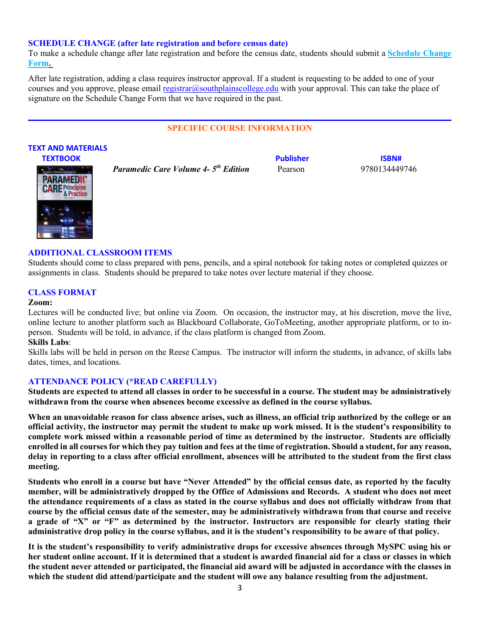#### **SCHEDULE CHANGE (after late registration and before census date)**

To make a schedule change after late registration and before the census date, students should submit a **[Schedule Change](https://forms.office.com/Pages/ResponsePage.aspx?id=ZrGRbWrP6UWeIqAmJdCCqRkmPIpp6AVCixFJfcqITt9UODIyTkRZSkFHVDNSVFRFV0g0T0tVWVAwRi4u)  [Form.](https://forms.office.com/Pages/ResponsePage.aspx?id=ZrGRbWrP6UWeIqAmJdCCqRkmPIpp6AVCixFJfcqITt9UODIyTkRZSkFHVDNSVFRFV0g0T0tVWVAwRi4u)**

After late registration, adding a class requires instructor approval. If a student is requesting to be added to one of your courses and you approve, please email [registrar@southplainscollege.edu](mailto:registrar@southplainscollege.edu) with your approval. This can take the place of signature on the Schedule Change Form that we have required in the past.

#### **SPECIFIC COURSE INFORMATION**

#### **TEXT AND MATERIALS**

**TEXTBOOK ISBN#**  *Paramedic Care Volume 4- 5th Edition* Pearson 9780134449746



## **ADDITIONAL CLASSROOM ITEMS**

Students should come to class prepared with pens, pencils, and a spiral notebook for taking notes or completed quizzes or assignments in class. Students should be prepared to take notes over lecture material if they choose.

## **CLASS FORMAT**

#### **Zoom:**

Lectures will be conducted live; but online via Zoom. On occasion, the instructor may, at his discretion, move the live, online lecture to another platform such as Blackboard Collaborate, GoToMeeting, another appropriate platform, or to inperson. Students will be told, in advance, if the class platform is changed from Zoom.

#### **Skills Labs**:

Skills labs will be held in person on the Reese Campus. The instructor will inform the students, in advance, of skills labs dates, times, and locations.

## **ATTENDANCE POLICY (\*READ CAREFULLY)**

**Students are expected to attend all classes in order to be successful in a course. The student may be administratively withdrawn from the course when absences become excessive as defined in the course syllabus.** 

**When an unavoidable reason for class absence arises, such as illness, an official trip authorized by the college or an official activity, the instructor may permit the student to make up work missed. It is the student's responsibility to complete work missed within a reasonable period of time as determined by the instructor. Students are officially enrolled in all courses for which they pay tuition and fees at the time of registration. Should a student, for any reason, delay in reporting to a class after official enrollment, absences will be attributed to the student from the first class meeting.**

**Students who enroll in a course but have "Never Attended" by the official census date, as reported by the faculty member, will be administratively dropped by the Office of Admissions and Records. A student who does not meet the attendance requirements of a class as stated in the course syllabus and does not officially withdraw from that course by the official census date of the semester, may be administratively withdrawn from that course and receive a grade of "X" or "F" as determined by the instructor. Instructors are responsible for clearly stating their administrative drop policy in the course syllabus, and it is the student's responsibility to be aware of that policy.** 

**It is the student's responsibility to verify administrative drops for excessive absences through MySPC using his or her student online account. If it is determined that a student is awarded financial aid for a class or classes in which the student never attended or participated, the financial aid award will be adjusted in accordance with the classes in which the student did attend/participate and the student will owe any balance resulting from the adjustment.**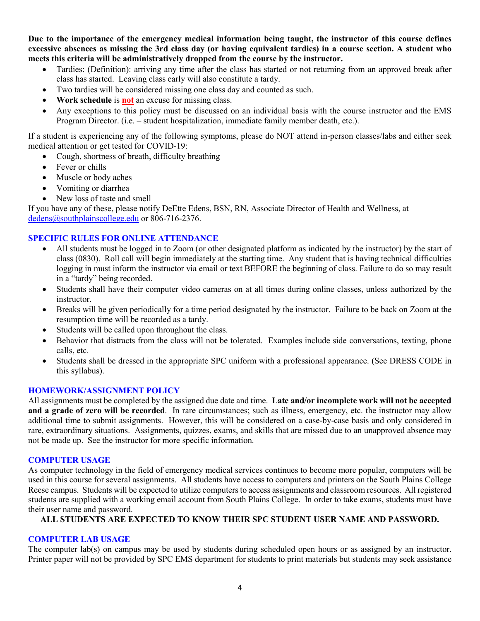**Due to the importance of the emergency medical information being taught, the instructor of this course defines excessive absences as missing the 3rd class day (or having equivalent tardies) in a course section. A student who meets this criteria will be administratively dropped from the course by the instructor.** 

- Tardies: (Definition): arriving any time after the class has started or not returning from an approved break after class has started. Leaving class early will also constitute a tardy.
- Two tardies will be considered missing one class day and counted as such.
- **Work schedule** is **not** an excuse for missing class.
- Any exceptions to this policy must be discussed on an individual basis with the course instructor and the EMS Program Director. (i.e. – student hospitalization, immediate family member death, etc.).

If a student is experiencing any of the following symptoms, please do NOT attend in-person classes/labs and either seek medical attention or get tested for COVID-19:

- Cough, shortness of breath, difficulty breathing
- Fever or chills
- Muscle or body aches
- Vomiting or diarrhea
- New loss of taste and smell

If you have any of these, please notify DeEtte Edens, BSN, RN, Associate Director of Health and Wellness, at [dedens@southplainscollege.edu](mailto:dedens@southplainscollege.edu) or 806-716-2376.

## **SPECIFIC RULES FOR ONLINE ATTENDANCE**

- All students must be logged in to Zoom (or other designated platform as indicated by the instructor) by the start of class (0830). Roll call will begin immediately at the starting time. Any student that is having technical difficulties logging in must inform the instructor via email or text BEFORE the beginning of class. Failure to do so may result in a "tardy" being recorded.
- Students shall have their computer video cameras on at all times during online classes, unless authorized by the instructor.
- Breaks will be given periodically for a time period designated by the instructor. Failure to be back on Zoom at the resumption time will be recorded as a tardy.
- Students will be called upon throughout the class.
- Behavior that distracts from the class will not be tolerated. Examples include side conversations, texting, phone calls, etc.
- Students shall be dressed in the appropriate SPC uniform with a professional appearance. (See DRESS CODE in this syllabus).

## **HOMEWORK/ASSIGNMENT POLICY**

All assignments must be completed by the assigned due date and time. **Late and/or incomplete work will not be accepted and a grade of zero will be recorded**. In rare circumstances; such as illness, emergency, etc. the instructor may allow additional time to submit assignments. However, this will be considered on a case-by-case basis and only considered in rare, extraordinary situations. Assignments, quizzes, exams, and skills that are missed due to an unapproved absence may not be made up. See the instructor for more specific information.

#### **COMPUTER USAGE**

As computer technology in the field of emergency medical services continues to become more popular, computers will be used in this course for several assignments. All students have access to computers and printers on the South Plains College Reese campus. Students will be expected to utilize computers to access assignments and classroom resources. All registered students are supplied with a working email account from South Plains College. In order to take exams, students must have their user name and password.

## **ALL STUDENTS ARE EXPECTED TO KNOW THEIR SPC STUDENT USER NAME AND PASSWORD.**

## **COMPUTER LAB USAGE**

The computer lab(s) on campus may be used by students during scheduled open hours or as assigned by an instructor. Printer paper will not be provided by SPC EMS department for students to print materials but students may seek assistance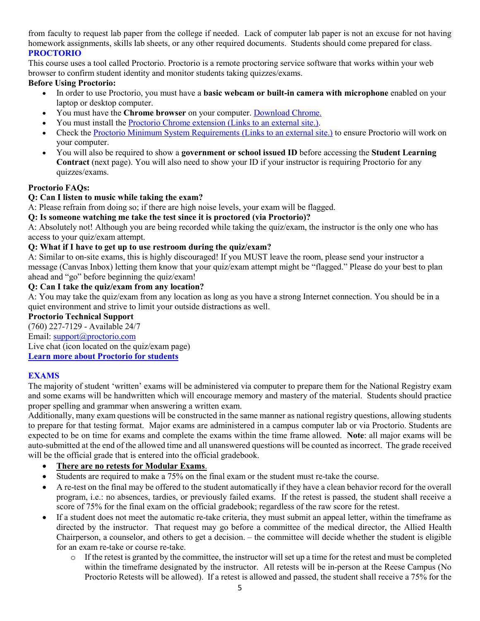from faculty to request lab paper from the college if needed. Lack of computer lab paper is not an excuse for not having homework assignments, skills lab sheets, or any other required documents. Students should come prepared for class. **PROCTORIO**

This course uses a tool called Proctorio. Proctorio is a remote proctoring service software that works within your web browser to confirm student identity and monitor students taking quizzes/exams.

## **Before Using Proctorio:**

- In order to use Proctorio, you must have a **basic webcam or built-in camera with microphone** enabled on your laptop or desktop computer.
- You must have the **Chrome browser** on your computer. [Download Chrome.](https://www.google.com/chrome/browser/)
- You must install the [Proctorio Chrome extension](https://getproctorio.com/) (Links to an external site.).
- Check the [Proctorio Minimum System Requirements](https://proctorio.com/system-requirements) (Links to an external site.) to ensure Proctorio will work on your computer.
- You will also be required to show a **government or school issued ID** before accessing the **Student Learning Contract** (next page). You will also need to show your ID if your instructor is requiring Proctorio for any quizzes/exams.

## **Proctorio FAQs:**

## **Q: Can I listen to music while taking the exam?**

A: Please refrain from doing so; if there are high noise levels, your exam will be flagged.

## **Q: Is someone watching me take the test since it is proctored (via Proctorio)?**

A: Absolutely not! Although you are being recorded while taking the quiz/exam, the instructor is the only one who has access to your quiz/exam attempt.

## **Q: What if I have to get up to use restroom during the quiz/exam?**

A: Similar to on-site exams, this is highly discouraged! If you MUST leave the room, please send your instructor a message (Canvas Inbox) letting them know that your quiz/exam attempt might be "flagged." Please do your best to plan ahead and "go" before beginning the quiz/exam!

## **Q: Can I take the quiz/exam from any location?**

A: You may take the quiz/exam from any location as long as you have a strong Internet connection. You should be in a quiet environment and strive to limit your outside distractions as well.

## **Proctorio Technical Support**

(760) 227-7129 - Available 24/7

Email: [support@proctorio.com](mailto:support@proctorio.com)

Live chat (icon located on the quiz/exam page)

**[Learn more about Proctorio for students](https://proctorio.com/students)**

## **EXAMS**

The majority of student 'written' exams will be administered via computer to prepare them for the National Registry exam and some exams will be handwritten which will encourage memory and mastery of the material. Students should practice proper spelling and grammar when answering a written exam.

Additionally, many exam questions will be constructed in the same manner as national registry questions, allowing students to prepare for that testing format. Major exams are administered in a campus computer lab or via Proctorio. Students are expected to be on time for exams and complete the exams within the time frame allowed. **Note**: all major exams will be auto-submitted at the end of the allowed time and all unanswered questions will be counted as incorrect. The grade received will be the official grade that is entered into the official gradebook.

## • **There are no retests for Modular Exams**.

- Students are required to make a 75% on the final exam or the student must re-take the course.
- A re-test on the final may be offered to the student automatically if they have a clean behavior record for the overall program, i.e.: no absences, tardies, or previously failed exams. If the retest is passed, the student shall receive a score of 75% for the final exam on the official gradebook; regardless of the raw score for the retest.
- If a student does not meet the automatic re-take criteria, they must submit an appeal letter, within the timeframe as directed by the instructor. That request may go before a committee of the medical director, the Allied Health Chairperson, a counselor, and others to get a decision. – the committee will decide whether the student is eligible for an exam re-take or course re-take.
	- $\circ$  If the retest is granted by the committee, the instructor will set up a time for the retest and must be completed within the timeframe designated by the instructor. All retests will be in-person at the Reese Campus (No Proctorio Retests will be allowed). If a retest is allowed and passed, the student shall receive a 75% for the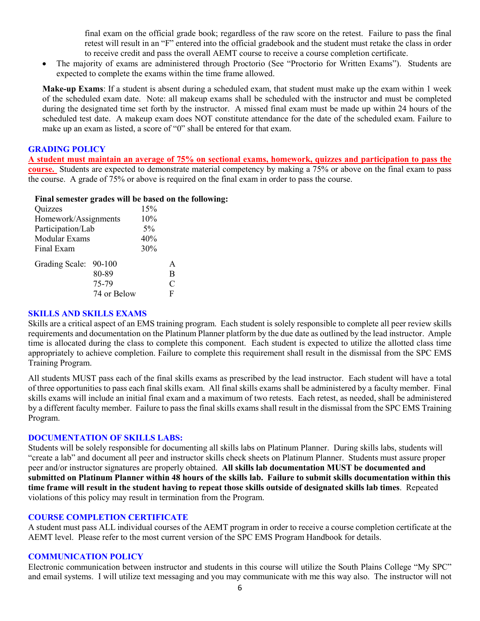final exam on the official grade book; regardless of the raw score on the retest. Failure to pass the final retest will result in an "F" entered into the official gradebook and the student must retake the class in order to receive credit and pass the overall AEMT course to receive a course completion certificate.

• The majority of exams are administered through Proctorio (See "Proctorio for Written Exams"). Students are expected to complete the exams within the time frame allowed.

**Make-up Exams**: If a student is absent during a scheduled exam, that student must make up the exam within 1 week of the scheduled exam date. Note: all makeup exams shall be scheduled with the instructor and must be completed during the designated time set forth by the instructor. A missed final exam must be made up within 24 hours of the scheduled test date. A makeup exam does NOT constitute attendance for the date of the scheduled exam. Failure to make up an exam as listed, a score of "0" shall be entered for that exam.

#### **GRADING POLICY**

**A student must maintain an average of 75% on sectional exams, homework, quizzes and participation to pass the course.** Students are expected to demonstrate material competency by making a 75% or above on the final exam to pass the course. A grade of 75% or above is required on the final exam in order to pass the course.

#### **Final semester grades will be based on the following:**

| Quizzes               |             | 15% |               |
|-----------------------|-------------|-----|---------------|
| Homework/Assignments  | 10%         |     |               |
| Participation/Lab     | 5%          |     |               |
| Modular Exams         | 40%         |     |               |
| Final Exam            | 30%         |     |               |
| Grading Scale: 90-100 |             |     | A             |
|                       | 80-89       |     | B             |
|                       | 75-79       |     | $\mathcal{C}$ |
|                       | 74 or Below |     | F             |

#### **SKILLS AND SKILLS EXAMS**

Skills are a critical aspect of an EMS training program. Each student is solely responsible to complete all peer review skills requirements and documentation on the Platinum Planner platform by the due date as outlined by the lead instructor. Ample time is allocated during the class to complete this component. Each student is expected to utilize the allotted class time appropriately to achieve completion. Failure to complete this requirement shall result in the dismissal from the SPC EMS Training Program.

All students MUST pass each of the final skills exams as prescribed by the lead instructor. Each student will have a total of three opportunities to pass each final skills exam. All final skills exams shall be administered by a faculty member. Final skills exams will include an initial final exam and a maximum of two retests. Each retest, as needed, shall be administered by a different faculty member. Failure to pass the final skills exams shall result in the dismissal from the SPC EMS Training Program.

## **DOCUMENTATION OF SKILLS LABS:**

Students will be solely responsible for documenting all skills labs on Platinum Planner. During skills labs, students will "create a lab" and document all peer and instructor skills check sheets on Platinum Planner. Students must assure proper peer and/or instructor signatures are properly obtained. **All skills lab documentation MUST be documented and submitted on Platinum Planner within 48 hours of the skills lab. Failure to submit skills documentation within this time frame will result in the student having to repeat those skills outside of designated skills lab times**. Repeated violations of this policy may result in termination from the Program.

## **COURSE COMPLETION CERTIFICATE**

A student must pass ALL individual courses of the AEMT program in order to receive a course completion certificate at the AEMT level. Please refer to the most current version of the SPC EMS Program Handbook for details.

#### **COMMUNICATION POLICY**

Electronic communication between instructor and students in this course will utilize the South Plains College "My SPC" and email systems. I will utilize text messaging and you may communicate with me this way also. The instructor will not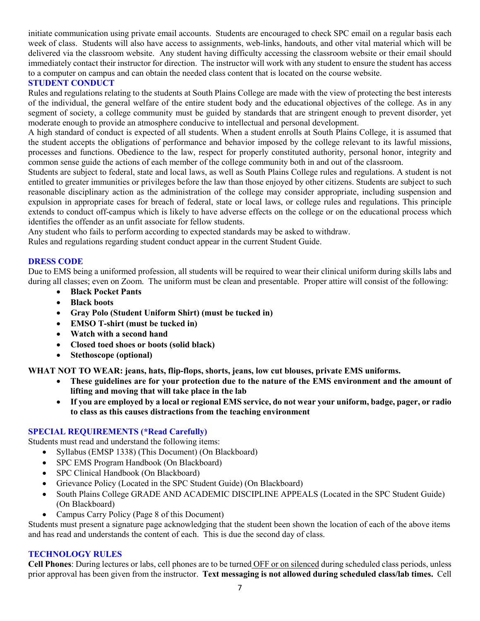initiate communication using private email accounts. Students are encouraged to check SPC email on a regular basis each week of class. Students will also have access to assignments, web-links, handouts, and other vital material which will be delivered via the classroom website. Any student having difficulty accessing the classroom website or their email should immediately contact their instructor for direction. The instructor will work with any student to ensure the student has access to a computer on campus and can obtain the needed class content that is located on the course website.

## **STUDENT CONDUCT**

Rules and regulations relating to the students at South Plains College are made with the view of protecting the best interests of the individual, the general welfare of the entire student body and the educational objectives of the college. As in any segment of society, a college community must be guided by standards that are stringent enough to prevent disorder, yet moderate enough to provide an atmosphere conducive to intellectual and personal development.

A high standard of conduct is expected of all students. When a student enrolls at South Plains College, it is assumed that the student accepts the obligations of performance and behavior imposed by the college relevant to its lawful missions, processes and functions. Obedience to the law, respect for properly constituted authority, personal honor, integrity and common sense guide the actions of each member of the college community both in and out of the classroom.

Students are subject to federal, state and local laws, as well as South Plains College rules and regulations. A student is not entitled to greater immunities or privileges before the law than those enjoyed by other citizens. Students are subject to such reasonable disciplinary action as the administration of the college may consider appropriate, including suspension and expulsion in appropriate cases for breach of federal, state or local laws, or college rules and regulations. This principle extends to conduct off-campus which is likely to have adverse effects on the college or on the educational process which identifies the offender as an unfit associate for fellow students.

Any student who fails to perform according to expected standards may be asked to withdraw.

Rules and regulations regarding student conduct appear in the current Student Guide.

## **DRESS CODE**

Due to EMS being a uniformed profession, all students will be required to wear their clinical uniform during skills labs and during all classes; even on Zoom. The uniform must be clean and presentable. Proper attire will consist of the following:

- **Black Pocket Pants**
- **Black boots**
- **Gray Polo (Student Uniform Shirt) (must be tucked in)**
- **EMSO T-shirt (must be tucked in)**
- **Watch with a second hand**
- **Closed toed shoes or boots (solid black)**
- **Stethoscope (optional)**

**WHAT NOT TO WEAR: jeans, hats, flip-flops, shorts, jeans, low cut blouses, private EMS uniforms.**

- **These guidelines are for your protection due to the nature of the EMS environment and the amount of lifting and moving that will take place in the lab**
- **If you are employed by a local or regional EMS service, do not wear your uniform, badge, pager, or radio to class as this causes distractions from the teaching environment**

## **SPECIAL REQUIREMENTS (\*Read Carefully)**

Students must read and understand the following items:

- Syllabus (EMSP 1338) (This Document) (On Blackboard)
- SPC EMS Program Handbook (On Blackboard)
- SPC Clinical Handbook (On Blackboard)
- Grievance Policy (Located in the SPC Student Guide) (On Blackboard)
- South Plains College GRADE AND ACADEMIC DISCIPLINE APPEALS (Located in the SPC Student Guide) (On Blackboard)
- Campus Carry Policy (Page 8 of this Document)

Students must present a signature page acknowledging that the student been shown the location of each of the above items and has read and understands the content of each. This is due the second day of class.

## **TECHNOLOGY RULES**

**Cell Phones**: During lectures or labs, cell phones are to be turned OFF or on silenced during scheduled class periods, unless prior approval has been given from the instructor. **Text messaging is not allowed during scheduled class/lab times.** Cell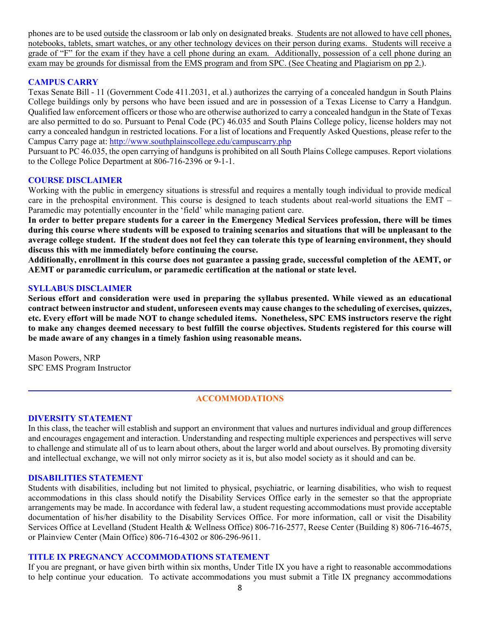phones are to be used outside the classroom or lab only on designated breaks. Students are not allowed to have cell phones, notebooks, tablets, smart watches, or any other technology devices on their person during exams. Students will receive a grade of "F" for the exam if they have a cell phone during an exam. Additionally, possession of a cell phone during an exam may be grounds for dismissal from the EMS program and from SPC. (See Cheating and Plagiarism on pp 2.).

## **CAMPUS CARRY**

Texas Senate Bill - 11 (Government Code 411.2031, et al.) authorizes the carrying of a concealed handgun in South Plains College buildings only by persons who have been issued and are in possession of a Texas License to Carry a Handgun. Qualified law enforcement officers or those who are otherwise authorized to carry a concealed handgun in the State of Texas are also permitted to do so. Pursuant to Penal Code (PC) 46.035 and South Plains College policy, license holders may not carry a concealed handgun in restricted locations. For a list of locations and Frequently Asked Questions, please refer to the Campus Carry page at: <http://www.southplainscollege.edu/campuscarry.php>

Pursuant to PC 46.035, the open carrying of handguns is prohibited on all South Plains College campuses. Report violations to the College Police Department at 806-716-2396 or 9-1-1.

#### **COURSE DISCLAIMER**

Working with the public in emergency situations is stressful and requires a mentally tough individual to provide medical care in the prehospital environment. This course is designed to teach students about real-world situations the EMT – Paramedic may potentially encounter in the 'field' while managing patient care.

**In order to better prepare students for a career in the Emergency Medical Services profession, there will be times during this course where students will be exposed to training scenarios and situations that will be unpleasant to the average college student. If the student does not feel they can tolerate this type of learning environment, they should discuss this with me immediately before continuing the course.**

**Additionally, enrollment in this course does not guarantee a passing grade, successful completion of the AEMT, or AEMT or paramedic curriculum, or paramedic certification at the national or state level.** 

#### **SYLLABUS DISCLAIMER**

**Serious effort and consideration were used in preparing the syllabus presented. While viewed as an educational contract between instructor and student, unforeseen events may cause changes to the scheduling of exercises, quizzes, etc. Every effort will be made NOT to change scheduled items. Nonetheless, SPC EMS instructors reserve the right to make any changes deemed necessary to best fulfill the course objectives. Students registered for this course will be made aware of any changes in a timely fashion using reasonable means.** 

Mason Powers, NRP SPC EMS Program Instructor

## **ACCOMMODATIONS**

## **DIVERSITY STATEMENT**

In this class, the teacher will establish and support an environment that values and nurtures individual and group differences and encourages engagement and interaction. Understanding and respecting multiple experiences and perspectives will serve to challenge and stimulate all of us to learn about others, about the larger world and about ourselves. By promoting diversity and intellectual exchange, we will not only mirror society as it is, but also model society as it should and can be.

#### **DISABILITIES STATEMENT**

Students with disabilities, including but not limited to physical, psychiatric, or learning disabilities, who wish to request accommodations in this class should notify the Disability Services Office early in the semester so that the appropriate arrangements may be made. In accordance with federal law, a student requesting accommodations must provide acceptable documentation of his/her disability to the Disability Services Office. For more information, call or visit the Disability Services Office at Levelland (Student Health & Wellness Office) 806-716-2577, Reese Center (Building 8) 806-716-4675, or Plainview Center (Main Office) 806-716-4302 or 806-296-9611.

#### **TITLE IX PREGNANCY ACCOMMODATIONS STATEMENT**

If you are pregnant, or have given birth within six months, Under Title IX you have a right to reasonable accommodations to help continue your education. To activate accommodations you must submit a Title IX pregnancy accommodations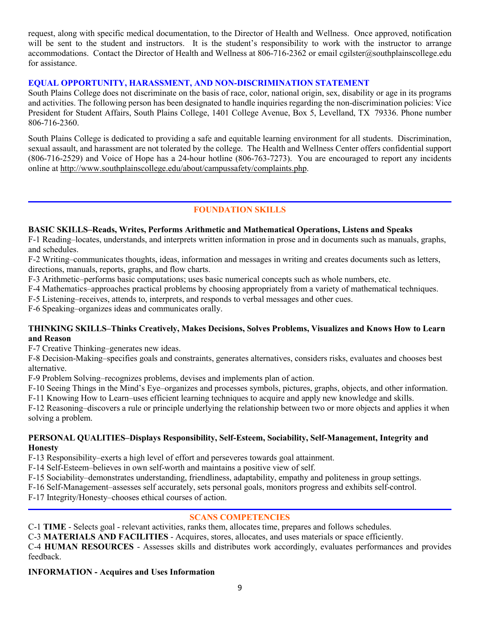request, along with specific medical documentation, to the Director of Health and Wellness. Once approved, notification will be sent to the student and instructors. It is the student's responsibility to work with the instructor to arrange accommodations. Contact the Director of Health and Wellness at 806-716-2362 or email cgilster@southplainscollege.edu for assistance.

## **EQUAL OPPORTUNITY, HARASSMENT, AND NON-DISCRIMINATION STATEMENT**

South Plains College does not discriminate on the basis of race, color, national origin, sex, disability or age in its programs and activities. The following person has been designated to handle inquiries regarding the non-discrimination policies: Vice President for Student Affairs, South Plains College, 1401 College Avenue, Box 5, Levelland, TX 79336. Phone number 806-716-2360.

South Plains College is dedicated to providing a safe and equitable learning environment for all students. Discrimination, sexual assault, and harassment are not tolerated by the college. The Health and Wellness Center offers confidential support (806-716-2529) and Voice of Hope has a 24-hour hotline (806-763-7273). You are encouraged to report any incidents online at [http://www.southplainscollege.edu/about/campussafety/complaints.php.](http://www.southplainscollege.edu/about/campussafety/complaints.php)

## **FOUNDATION SKILLS**

## **BASIC SKILLS–Reads, Writes, Performs Arithmetic and Mathematical Operations, Listens and Speaks**

F-1 Reading–locates, understands, and interprets written information in prose and in documents such as manuals, graphs, and schedules.

F-2 Writing–communicates thoughts, ideas, information and messages in writing and creates documents such as letters, directions, manuals, reports, graphs, and flow charts.

F-3 Arithmetic–performs basic computations; uses basic numerical concepts such as whole numbers, etc.

F-4 Mathematics–approaches practical problems by choosing appropriately from a variety of mathematical techniques.

F-5 Listening–receives, attends to, interprets, and responds to verbal messages and other cues.

F-6 Speaking–organizes ideas and communicates orally.

## **THINKING SKILLS–Thinks Creatively, Makes Decisions, Solves Problems, Visualizes and Knows How to Learn and Reason**

F-7 Creative Thinking–generates new ideas.

F-8 Decision-Making–specifies goals and constraints, generates alternatives, considers risks, evaluates and chooses best alternative.

F-9 Problem Solving–recognizes problems, devises and implements plan of action.

F-10 Seeing Things in the Mind's Eye–organizes and processes symbols, pictures, graphs, objects, and other information.

F-11 Knowing How to Learn–uses efficient learning techniques to acquire and apply new knowledge and skills. F-12 Reasoning–discovers a rule or principle underlying the relationship between two or more objects and applies it when solving a problem.

## **PERSONAL QUALITIES–Displays Responsibility, Self-Esteem, Sociability, Self-Management, Integrity and Honesty**

F-13 Responsibility–exerts a high level of effort and perseveres towards goal attainment.

F-14 Self-Esteem–believes in own self-worth and maintains a positive view of self.

F-15 Sociability–demonstrates understanding, friendliness, adaptability, empathy and politeness in group settings.

F-16 Self-Management–assesses self accurately, sets personal goals, monitors progress and exhibits self-control.

F-17 Integrity/Honesty–chooses ethical courses of action.

## **SCANS COMPETENCIES**

C-1 **TIME** - Selects goal - relevant activities, ranks them, allocates time, prepares and follows schedules.

C-3 **MATERIALS AND FACILITIES** - Acquires, stores, allocates, and uses materials or space efficiently.

C-4 **HUMAN RESOURCES** - Assesses skills and distributes work accordingly, evaluates performances and provides feedback.

## **INFORMATION - Acquires and Uses Information**